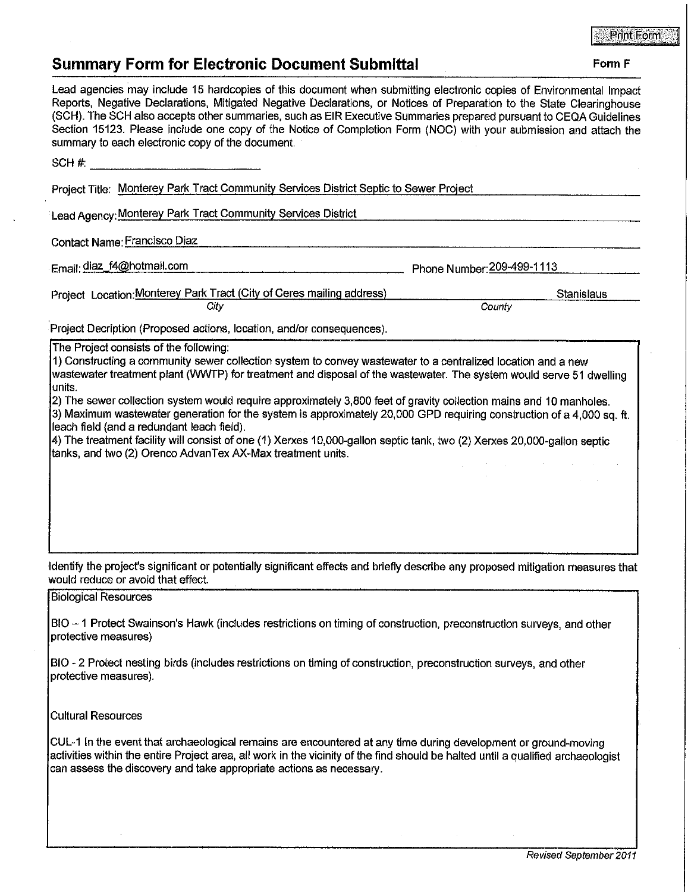## **PrintForm**

## **Summary Form for Flectronic Document Submittal Form F Form F**

| Juliani v Lvilli IVI, Little Ville Document Jubililital                                                                                                                                                                                                                                                                                                                                                                                                                                                                                                                                                                                                                                                                               |
|---------------------------------------------------------------------------------------------------------------------------------------------------------------------------------------------------------------------------------------------------------------------------------------------------------------------------------------------------------------------------------------------------------------------------------------------------------------------------------------------------------------------------------------------------------------------------------------------------------------------------------------------------------------------------------------------------------------------------------------|
| Lead agencies may include 15 hardcopies of this document when submitting electronic copies of Environmental Impact<br>Reports, Negative Declarations, Mitigated Negative Declarations, or Notices of Preparation to the State Clearinghouse<br>(SCH). The SCH also accepts other summaries, such as EIR Executive Summaries prepared pursuant to CEQA Guidelines<br>Section 15123. Please include one copy of the Notice of Completion Form (NOC) with your submission and attach the<br>summary to each electronic copy of the document.                                                                                                                                                                                             |
| SCH #:                                                                                                                                                                                                                                                                                                                                                                                                                                                                                                                                                                                                                                                                                                                                |
| Project Title: Monterey Park Tract Community Services District Septic to Sewer Project                                                                                                                                                                                                                                                                                                                                                                                                                                                                                                                                                                                                                                                |
| Lead Agency: Monterey Park Tract Community Services District                                                                                                                                                                                                                                                                                                                                                                                                                                                                                                                                                                                                                                                                          |
| Contact Name: Francisco Diaz                                                                                                                                                                                                                                                                                                                                                                                                                                                                                                                                                                                                                                                                                                          |
| Email: diaz_f4@hotmail.com<br>Phone Number: 209-499-1113                                                                                                                                                                                                                                                                                                                                                                                                                                                                                                                                                                                                                                                                              |
|                                                                                                                                                                                                                                                                                                                                                                                                                                                                                                                                                                                                                                                                                                                                       |
| Project Location: Monterey Park Tract (City of Ceres mailing address)<br><b>Stanislaus</b><br>City<br>County                                                                                                                                                                                                                                                                                                                                                                                                                                                                                                                                                                                                                          |
| Project Decription (Proposed actions, location, and/or consequences).                                                                                                                                                                                                                                                                                                                                                                                                                                                                                                                                                                                                                                                                 |
| 1) Constructing a community sewer collection system to convey wastewater to a centralized location and a new<br>wastewater treatment plant (WWTP) for treatment and disposal of the wastewater. The system would serve 51 dwelling<br>lunits.<br>[2) The sewer collection system would require approximately 3,800 feet of gravity collection mains and 10 manholes.<br>[3) Maximum wastewater generation for the system is approximately 20,000 GPD requiring construction of a 4,000 sq. ft.<br>leach field (and a redundant leach field).<br>4) The treatment facility will consist of one (1) Xerxes 10,000-gallon septic tank, two (2) Xerxes 20,000-gallon septic<br>tanks, and two (2) Orenco AdvanTex AX-Max treatment units. |
| Identify the project's significant or potentially significant effects and briefly describe any proposed mitigation measures that<br>would reduce or avoid that effect.                                                                                                                                                                                                                                                                                                                                                                                                                                                                                                                                                                |
| <b>Biological Resources</b>                                                                                                                                                                                                                                                                                                                                                                                                                                                                                                                                                                                                                                                                                                           |
| BIO - 1 Protect Swainson's Hawk (includes restrictions on timing of construction, preconstruction surveys, and other<br>protective measures)                                                                                                                                                                                                                                                                                                                                                                                                                                                                                                                                                                                          |
| BIO - 2 Protect nesting birds (includes restrictions on timing of construction, preconstruction surveys, and other<br>protective measures).                                                                                                                                                                                                                                                                                                                                                                                                                                                                                                                                                                                           |
| <b>Cultural Resources</b>                                                                                                                                                                                                                                                                                                                                                                                                                                                                                                                                                                                                                                                                                                             |
| CUL-1 In the event that archaeological remains are encountered at any time during development or ground-moving<br>activities within the entire Project area, all work in the vicinity of the find should be halted until a qualified archaeologist<br>can assess the discovery and take appropriate actions as necessary.                                                                                                                                                                                                                                                                                                                                                                                                             |
|                                                                                                                                                                                                                                                                                                                                                                                                                                                                                                                                                                                                                                                                                                                                       |